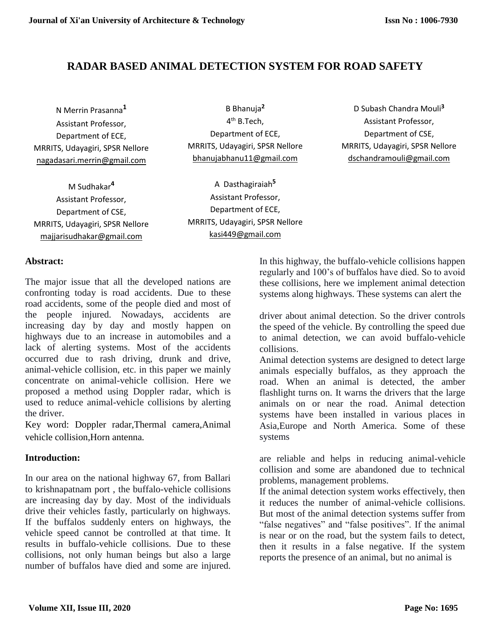# **RADAR BASED ANIMAL DETECTION SYSTEM FOR ROAD SAFETY**

N Merrin Prasanna**<sup>1</sup>** Assistant Professor, Department of ECE, MRRITS, Udayagiri, SPSR Nellore [nagadasari.merrin@gmail.com](mailto:nagadasari.merrin@gmail.com)

M Sudhakar**<sup>4</sup>** Assistant Professor, Department of CSE, MRRITS, Udayagiri, SPSR Nellore majjarisudhakar@gmail.com

B Bhanuja**<sup>2</sup>** 4<sup>th</sup> B.Tech, Department of ECE, MRRITS, Udayagiri, SPSR Nellore [bhanujabhanu11@gmail.com](mailto:bhanujabhanu11@gmail.com)

A Dasthagiraiah**<sup>5</sup>** Assistant Professor, Department of ECE, MRRITS, Udayagiri, SPSR Nellore [kasi449@gmail.com](mailto:kasi449@gmail.com)

D Subash Chandra Mouli**<sup>3</sup>** Assistant Professor, Department of CSE, MRRITS, Udayagiri, SPSR Nellore [dschandramouli@gmail.com](mailto:dschandramouli@gmail.com)

## **Abstract:**

The major issue that all the developed nations are confronting today is road accidents. Due to these road accidents, some of the people died and most of the people injured. Nowadays, accidents are increasing day by day and mostly happen on highways due to an increase in automobiles and a lack of alerting systems. Most of the accidents occurred due to rash driving, drunk and drive, animal-vehicle collision, etc. in this paper we mainly concentrate on animal-vehicle collision. Here we proposed a method using Doppler radar, which is used to reduce animal-vehicle collisions by alerting the driver.

Key word: Doppler radar,Thermal camera,Animal vehicle collision,Horn antenna.

# **Introduction:**

In our area on the national highway 67, from Ballari to krishnapatnam port , the buffalo-vehicle collisions are increasing day by day. Most of the individuals drive their vehicles fastly, particularly on highways. If the buffalos suddenly enters on highways, the vehicle speed cannot be controlled at that time. It results in buffalo-vehicle collisions. Due to these collisions, not only human beings but also a large number of buffalos have died and some are injured.

In this highway, the buffalo-vehicle collisions happen regularly and 100's of buffalos have died. So to avoid these collisions, here we implement animal detection systems along highways. These systems can alert the

driver about animal detection. So the driver controls the speed of the vehicle. By controlling the speed due to animal detection, we can avoid buffalo-vehicle collisions.

Animal detection systems are designed to detect large animals especially buffalos, as they approach the road. When an animal is detected, the amber flashlight turns on. It warns the drivers that the large animals on or near the road. Animal detection systems have been installed in various places in Asia,Europe and North America. Some of these systems

are reliable and helps in reducing animal-vehicle collision and some are abandoned due to technical problems, management problems.

If the animal detection system works effectively, then it reduces the number of animal-vehicle collisions. But most of the animal detection systems suffer from "false negatives" and "false positives". If the animal is near or on the road, but the system fails to detect, then it results in a false negative. If the system reports the presence of an animal, but no animal is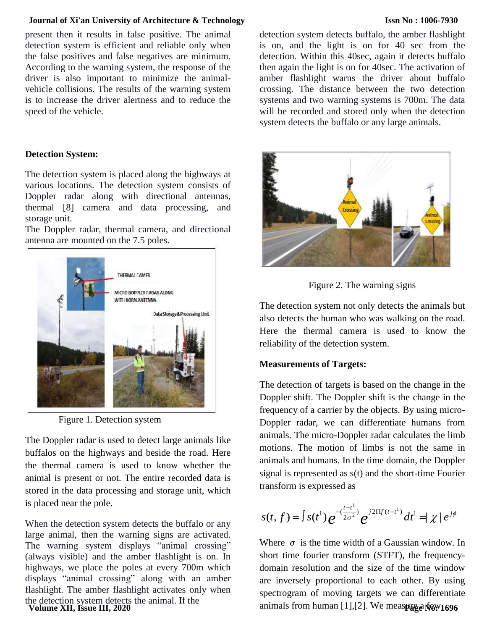#### **Journal of Xi'an University of Architecture & Technology**

## present then it results in false positive. The animal detection system is efficient and reliable only when the false positives and false negatives are minimum. According to the warning system, the response of the driver is also important to minimize the animalvehicle collisions. The results of the warning system is to increase the driver alertness and to reduce the speed of the vehicle.

### **Detection System:**

The detection system is placed along the highways at various locations. The detection system consists of Doppler radar along with directional antennas, thermal [8] camera and data processing, and storage unit.

The Doppler radar, thermal camera, and directional antenna are mounted on the 7.5 poles.



Figure 1. Detection system

The Doppler radar is used to detect large animals like buffalos on the highways and beside the road. Here the thermal camera is used to know whether the animal is present or not. The entire recorded data is stored in the data processing and storage unit, which is placed near the pole.

When the detection system detects the buffalo or any large animal, then the warning signs are activated. The warning system displays "animal crossing" (always visible) and the amber flashlight is on. In highways, we place the poles at every 700m which displays "animal crossing" along with an amber flashlight. The amber flashlight activates only when the detection system detects the animal. If the

**Volume XII, Issue III, 2020**

detection system detects buffalo, the amber flashlight is on, and the light is on for 40 sec from the detection. Within this 40sec, again it detects buffalo then again the light is on for 40sec. The activation of amber flashlight warns the driver about buffalo crossing. The distance between the two detection systems and two warning systems is 700m. The data will be recorded and stored only when the detection system detects the buffalo or any large animals.



Figure 2. The warning signs

The detection system not only detects the animals but also detects the human who was walking on the road. Here the thermal camera is used to know the reliability of the detection system.

## **Measurements of Targets:**

The detection of targets is based on the change in the Doppler shift. The Doppler shift is the change in the frequency of a carrier by the objects. By using micro-Doppler radar, we can differentiate humans from animals. The micro-Doppler radar calculates the limb motions. The motion of limbs is not the same in animals and humans. In the time domain, the Doppler signal is represented as s(t) and the short-time Fourier transform is expressed as

$$
s(t,f) = \int s(t^1) e^{-(\frac{t-t^1}{2\sigma^2})} e^{j2\Pi f(t-t^1)} dt^1 = |\chi| e^{j\phi}
$$

Where  $\sigma$  is the time width of a Gaussian window. In short time fourier transform (STFT), the frequencydomain resolution and the size of the time window are inversely proportional to each other. By using spectrogram of moving targets we can differentiate animals from human [1],[2]. We meas**p<sub>ige No</sub>: 1696** 

#### **Issn No : 1006-7930**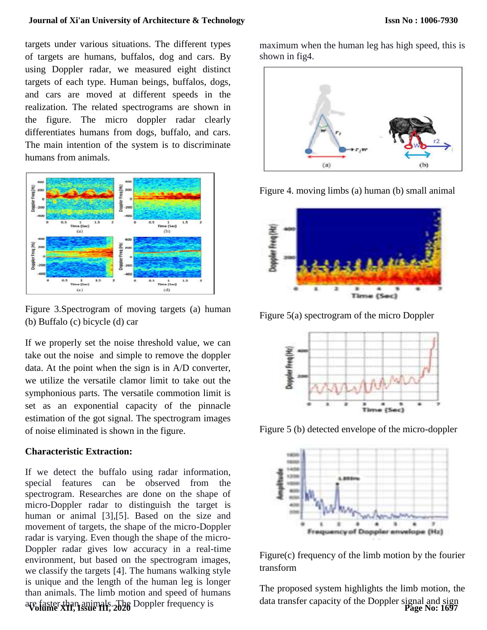#### **Journal of Xi'an University of Architecture & Technology**

targets under various situations. The different types of targets are humans, buffalos, dog and cars. By using Doppler radar, we measured eight distinct targets of each type. Human beings, buffalos, dogs, and cars are moved at different speeds in the realization. The related spectrograms are shown in the figure. The micro doppler radar clearly differentiates humans from dogs, buffalo, and cars. The main intention of the system is to discriminate humans from animals.



Figure 3.Spectrogram of moving targets (a) human (b) Buffalo (c) bicycle (d) car

If we properly set the noise threshold value, we can take out the noise and simple to remove the doppler data. At the point when the sign is in A/D converter, we utilize the versatile clamor limit to take out the symphonious parts. The versatile commotion limit is set as an exponential capacity of the pinnacle estimation of the got signal. The spectrogram images of noise eliminated is shown in the figure.

#### **Characteristic Extraction:**

If we detect the buffalo using radar information, special features can be observed from the spectrogram. Researches are done on the shape of micro-Doppler radar to distinguish the target is human or animal [3],[5]. Based on the size and movement of targets, the shape of the micro-Doppler radar is varying. Even though the shape of the micro-Doppler radar gives low accuracy in a real-time environment, but based on the spectrogram images, we classify the targets [4]. The humans walking style is unique and the length of the human leg is longer than animals. The limb motion and speed of humans are faster than animals. The Doppler frequency is **Volume XII, Issue III, 2020**

maximum when the human leg has high speed, this is shown in fig4.



Figure 4. moving limbs (a) human (b) small animal



Figure 5(a) spectrogram of the micro Doppler



Figure 5 (b) detected envelope of the micro-doppler



Figure(c) frequency of the limb motion by the fourier transform

The proposed system highlights the limb motion, the data transfer capacity of the Doppler signal and sign **Page No: 1697**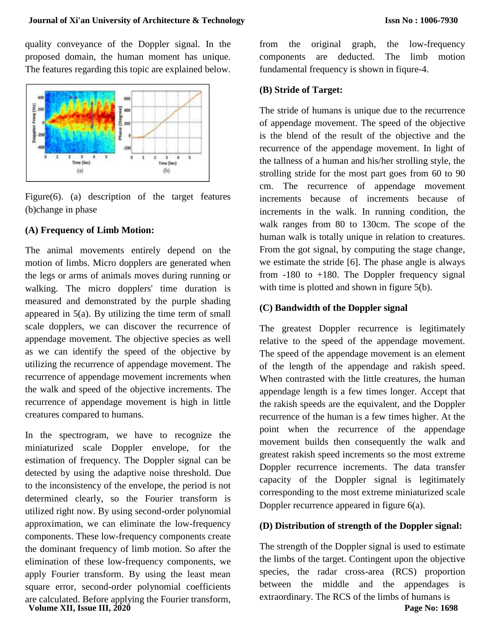quality conveyance of the Doppler signal. In the proposed domain, the human moment has unique. The features regarding this topic are explained below.



Figure(6). (a) description of the target features (b)change in phase

## **(A) Frequency of Limb Motion:**

The animal movements entirely depend on the motion of limbs. Micro dopplers are generated when the legs or arms of animals moves during running or walking. The micro dopplers' time duration is measured and demonstrated by the purple shading appeared in 5(a). By utilizing the time term of small scale dopplers, we can discover the recurrence of appendage movement. The objective species as well as we can identify the speed of the objective by utilizing the recurrence of appendage movement. The recurrence of appendage movement increments when the walk and speed of the objective increments. The recurrence of appendage movement is high in little creatures compared to humans.

In the spectrogram, we have to recognize the miniaturized scale Doppler envelope, for the estimation of frequency. The Doppler signal can be detected by using the adaptive noise threshold. Due to the inconsistency of the envelope, the period is not determined clearly, so the Fourier transform is utilized right now. By using second-order polynomial approximation, we can eliminate the low-frequency components. These low-frequency components create the dominant frequency of limb motion. So after the elimination of these low-frequency components, we apply Fourier transform. By using the least mean square error, second-order polynomial coefficients are calculated. Before applying the Fourier transform, **Volume XII, Issue III, 2020**

from the original graph, the low-frequency components are deducted. The limb motion fundamental frequency is shown in fiqure-4.

## **(B) Stride of Target:**

The stride of humans is unique due to the recurrence of appendage movement. The speed of the objective is the blend of the result of the objective and the recurrence of the appendage movement. In light of the tallness of a human and his/her strolling style, the strolling stride for the most part goes from 60 to 90 cm. The recurrence of appendage movement increments because of increments because of increments in the walk. In running condition, the walk ranges from 80 to 130cm. The scope of the human walk is totally unique in relation to creatures. From the got signal, by computing the stage change, we estimate the stride [6]. The phase angle is always from  $-180$  to  $+180$ . The Doppler frequency signal with time is plotted and shown in figure 5(b).

## **(C) Bandwidth of the Doppler signal**

The greatest Doppler recurrence is legitimately relative to the speed of the appendage movement. The speed of the appendage movement is an element of the length of the appendage and rakish speed. When contrasted with the little creatures, the human appendage length is a few times longer. Accept that the rakish speeds are the equivalent, and the Doppler recurrence of the human is a few times higher. At the point when the recurrence of the appendage movement builds then consequently the walk and greatest rakish speed increments so the most extreme Doppler recurrence increments. The data transfer capacity of the Doppler signal is legitimately corresponding to the most extreme miniaturized scale Doppler recurrence appeared in figure 6(a).

#### **(D) Distribution of strength of the Doppler signal:**

The strength of the Doppler signal is used to estimate the limbs of the target. Contingent upon the objective species, the radar cross-area (RCS) proportion between the middle and the appendages is extraordinary. The RCS of the limbs of humans is **Page No: 1698**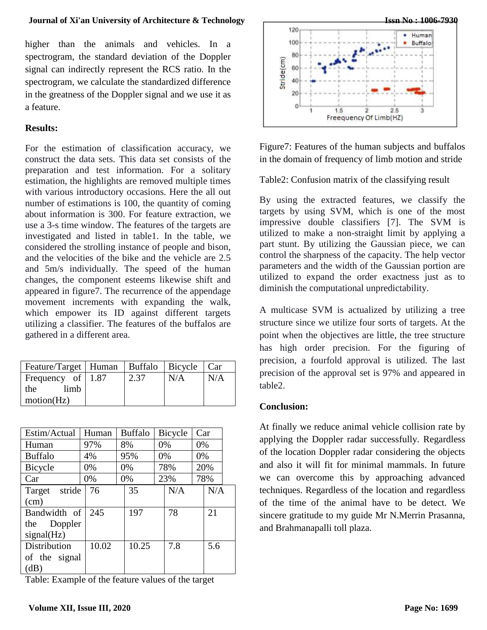## **Journal of Xi'an University of Architecture & Technology**

higher than the animals and vehicles. In a spectrogram, the standard deviation of the Doppler signal can indirectly represent the RCS ratio. In the spectrogram, we calculate the standardized difference in the greatness of the Doppler signal and we use it as a feature.

## **Results:**

For the estimation of classification accuracy, we construct the data sets. This data set consists of the preparation and test information. For a solitary estimation, the highlights are removed multiple times with various introductory occasions. Here the all out number of estimations is 100, the quantity of coming about information is 300. For feature extraction, we use a 3-s time window. The features of the targets are investigated and listed in table1. In the table, we considered the strolling instance of people and bison, and the velocities of the bike and the vehicle are 2.5 and 5m/s individually. The speed of the human changes, the component esteems likewise shift and appeared in figure7. The recurrence of the appendage movement increments with expanding the walk, which empower its ID against different targets utilizing a classifier. The features of the buffalos are gathered in a different area.

| Feature/Target   Human   Buffalo   Bicycle   Car |      |     |     |
|--------------------------------------------------|------|-----|-----|
| Frequency of $\vert$ 1.87                        | 2.37 | N/A | N/A |
| limb<br>the t                                    |      |     |     |
| motion(Hz)                                       |      |     |     |

| Estim/Actual     | Human | <b>Buffalo</b> |       | Bicycle |     | Car |     |  |
|------------------|-------|----------------|-------|---------|-----|-----|-----|--|
| Human            | 97%   | 8%             |       | 0%      |     | 0%  |     |  |
| <b>Buffalo</b>   | 4%    | 95%            |       |         | 0%  |     | 0%  |  |
| Bicycle          | 0%    | 0%             |       | 78%     |     | 20% |     |  |
| Car              | 0%    |                | 0%    |         | 23% |     | 78% |  |
| stride<br>Target | 76    |                | 35    |         | N/A |     | N/A |  |
| (cm)             |       |                |       |         |     |     |     |  |
| Bandwidth of     | 245   |                | 197   |         | 78  |     | 21  |  |
| Doppler<br>the   |       |                |       |         |     |     |     |  |
| signal(Hz)       |       |                |       |         |     |     |     |  |
| Distribution     | 10.02 |                | 10.25 |         | 7.8 |     | 5.6 |  |
| of the signal    |       |                |       |         |     |     |     |  |
| (dB)             |       |                |       |         |     |     |     |  |

Table: Example of the feature values of the target



Figure7: Features of the human subjects and buffalos in the domain of frequency of limb motion and stride

Table2: Confusion matrix of the classifying result

By using the extracted features, we classify the targets by using SVM, which is one of the most impressive double classifiers [7]. The SVM is utilized to make a non-straight limit by applying a part stunt. By utilizing the Gaussian piece, we can control the sharpness of the capacity. The help vector parameters and the width of the Gaussian portion are utilized to expand the order exactness just as to diminish the computational unpredictability.

A multicase SVM is actualized by utilizing a tree structure since we utilize four sorts of targets. At the point when the objectives are little, the tree structure has high order precision. For the figuring of precision, a fourfold approval is utilized. The last precision of the approval set is 97% and appeared in table2.

# **Conclusion:**

At finally we reduce animal vehicle collision rate by applying the Doppler radar successfully. Regardless of the location Doppler radar considering the objects and also it will fit for minimal mammals. In future we can overcome this by approaching advanced techniques. Regardless of the location and regardless of the time of the animal have to be detect. We sincere gratitude to my guide Mr N.Merrin Prasanna, and Brahmanapalli toll plaza.